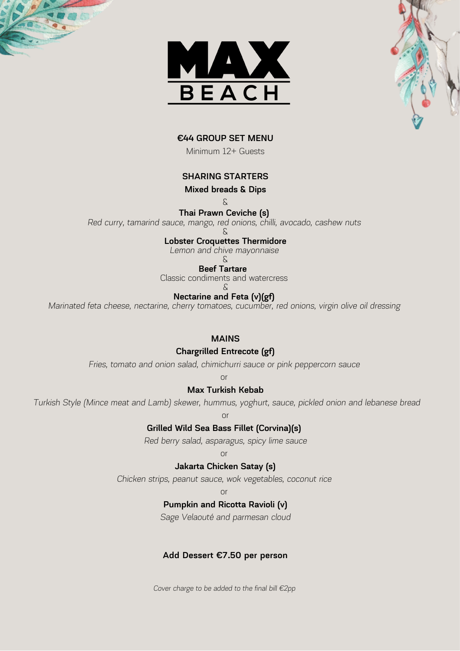



#### **€44 GROUP SET MENU**

Minimum 12+ Guests

## **SHARING STARTERS**

**Mixed breads & Dips**

&

**Thai Prawn Ceviche (s)**

*Red curry, tamarind sauce, mango, red onions, chilli, avocado, cashew nuts*

& **Lobster Croquettes Thermidore**

*Lemon and chive mayonnaise*

&

**Beef Tartare** Classic condiments and watercress

*&*

**Nectarine and Feta (v)(gf)**

*Marinated feta cheese, nectarine, cherry tomatoes, cucumber, red onions, virgin olive oil dressing*

#### **MAINS**

## **Chargrilled Entrecote (gf)**

*Fries, tomato and onion salad, chimichurri sauce or pink peppercorn sauce*

or

**Max Turkish Kebab**

*Turkish Style (Mince meat and Lamb) skewer, hummus, yoghurt, sauce, pickled onion and lebanese bread*

 $\cap$ r

## **Grilled Wild Sea Bass Fillet (Corvina)(s)**

*Red berry salad, asparagus, spicy lime sauce*

or

**Jakarta Chicken Satay (s)**

*Chicken strips, peanut sauce, wok vegetables, coconut rice*

or

## **Pumpkin and Ricotta Ravioli (v)**

*Sage Velaouté and parmesan cloud*

# **Add Dessert €7.50 per person**

*Cover charge to be added to the final bill €2pp*